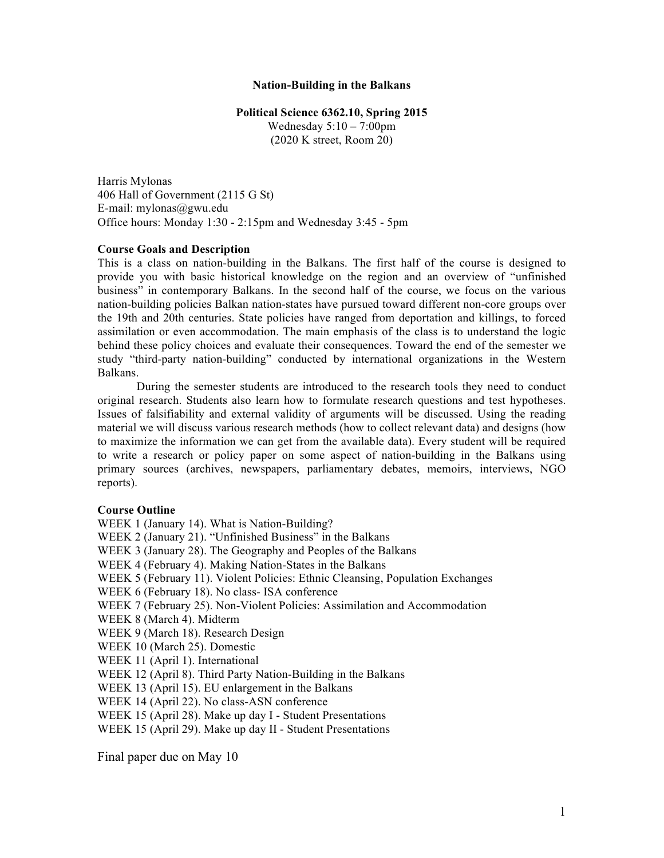#### **Nation-Building in the Balkans**

#### **Political Science 6362.10, Spring 2015**

Wednesday  $5:10 - 7:00$ pm (2020 K street, Room 20)

Harris Mylonas 406 Hall of Government (2115 G St) E-mail: mylonas@gwu.edu Office hours: Monday 1:30 - 2:15pm and Wednesday 3:45 - 5pm

### **Course Goals and Description**

This is a class on nation-building in the Balkans. The first half of the course is designed to provide you with basic historical knowledge on the region and an overview of "unfinished business" in contemporary Balkans. In the second half of the course, we focus on the various nation-building policies Balkan nation-states have pursued toward different non-core groups over the 19th and 20th centuries. State policies have ranged from deportation and killings, to forced assimilation or even accommodation. The main emphasis of the class is to understand the logic behind these policy choices and evaluate their consequences. Toward the end of the semester we study "third-party nation-building" conducted by international organizations in the Western Balkans.

During the semester students are introduced to the research tools they need to conduct original research. Students also learn how to formulate research questions and test hypotheses. Issues of falsifiability and external validity of arguments will be discussed. Using the reading material we will discuss various research methods (how to collect relevant data) and designs (how to maximize the information we can get from the available data). Every student will be required to write a research or policy paper on some aspect of nation-building in the Balkans using primary sources (archives, newspapers, parliamentary debates, memoirs, interviews, NGO reports).

### **Course Outline**

WEEK 1 (January 14). What is Nation-Building? WEEK 2 (January 21). "Unfinished Business" in the Balkans WEEK 3 (January 28). The Geography and Peoples of the Balkans WEEK 4 (February 4). Making Nation-States in the Balkans WEEK 5 (February 11). Violent Policies: Ethnic Cleansing, Population Exchanges WEEK 6 (February 18). No class- ISA conference WEEK 7 (February 25). Non-Violent Policies: Assimilation and Accommodation WEEK 8 (March 4). Midterm WEEK 9 (March 18). Research Design WEEK 10 (March 25). Domestic WEEK 11 (April 1). International WEEK 12 (April 8). Third Party Nation-Building in the Balkans WEEK 13 (April 15). EU enlargement in the Balkans WEEK 14 (April 22). No class-ASN conference WEEK 15 (April 28). Make up day I - Student Presentations WEEK 15 (April 29). Make up day II - Student Presentations

Final paper due on May 10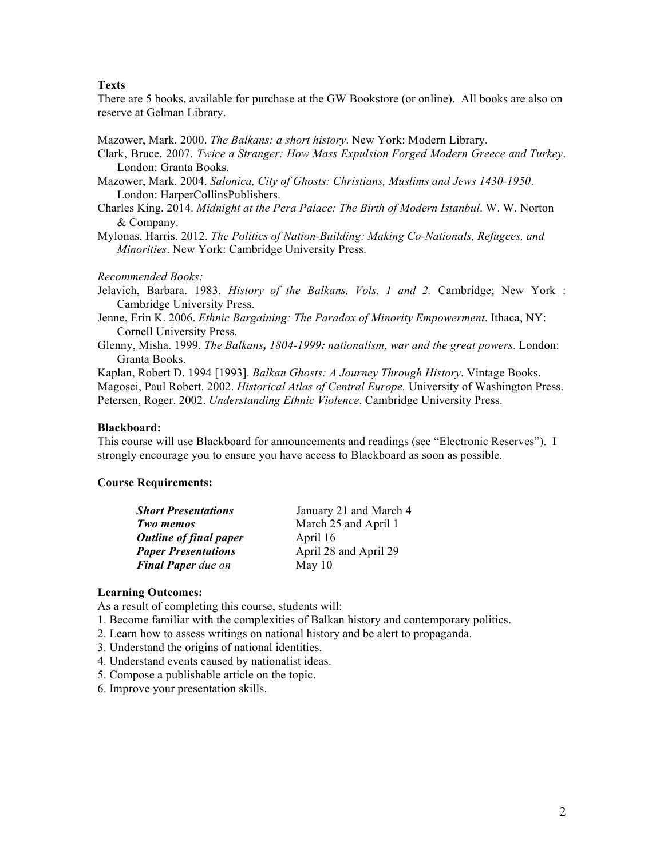### **Texts**

There are 5 books, available for purchase at the GW Bookstore (or online). All books are also on reserve at Gelman Library.

Mazower, Mark. 2000. *The Balkans: a short history*. New York: Modern Library.

- Clark, Bruce. 2007. *Twice a Stranger: How Mass Expulsion Forged Modern Greece and Turkey*. London: Granta Books.
- Mazower, Mark. 2004. *Salonica, City of Ghosts: Christians, Muslims and Jews 1430-1950*. London: HarperCollinsPublishers.
- Charles King. 2014. *Midnight at the Pera Palace: The Birth of Modern Istanbul*. W. W. Norton & Company.
- Mylonas, Harris. 2012. *The Politics of Nation-Building: Making Co-Nationals, Refugees, and Minorities*. New York: Cambridge University Press.

#### *Recommended Books:*

Jelavich, Barbara. 1983. *History of the Balkans, Vols. 1 and 2.* Cambridge; New York : Cambridge University Press.

- Jenne, Erin K. 2006. *Ethnic Bargaining: The Paradox of Minority Empowerment*. Ithaca, NY: Cornell University Press.
- Glenny, Misha. 1999. *The Balkans, 1804-1999: nationalism, war and the great powers*. London: Granta Books.

Kaplan, Robert D. 1994 [1993]. *Balkan Ghosts: A Journey Through History*. Vintage Books. Magosci, Paul Robert. 2002. *Historical Atlas of Central Europe.* University of Washington Press. Petersen, Roger. 2002. *Understanding Ethnic Violence*. Cambridge University Press.

#### **Blackboard:**

This course will use Blackboard for announcements and readings (see "Electronic Reserves"). I strongly encourage you to ensure you have access to Blackboard as soon as possible.

#### **Course Requirements:**

| <b>Short Presentations</b>    | January 21 and March 4 |
|-------------------------------|------------------------|
| Two memos                     | March 25 and April 1   |
| <b>Outline of final paper</b> | April 16               |
| <b>Paper Presentations</b>    | April 28 and April 29  |
| <b>Final Paper</b> due on     | May $10$               |

#### **Learning Outcomes:**

As a result of completing this course, students will:

- 1. Become familiar with the complexities of Balkan history and contemporary politics.
- 2. Learn how to assess writings on national history and be alert to propaganda.
- 3. Understand the origins of national identities.
- 4. Understand events caused by nationalist ideas.
- 5. Compose a publishable article on the topic.
- 6. Improve your presentation skills.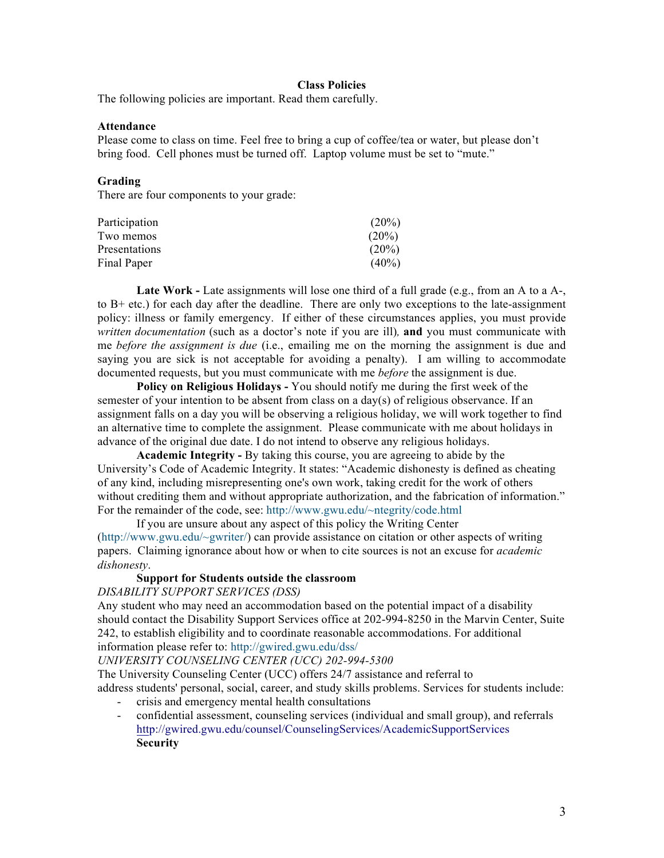### **Class Policies**

The following policies are important. Read them carefully.

### **Attendance**

Please come to class on time. Feel free to bring a cup of coffee/tea or water, but please don't bring food. Cell phones must be turned off. Laptop volume must be set to "mute."

### **Grading**

There are four components to your grade:

| Participation | $(20\%)$ |
|---------------|----------|
| Two memos     | $(20\%)$ |
| Presentations | $(20\%)$ |
| Final Paper   | $(40\%)$ |

**Late Work -** Late assignments will lose one third of a full grade (e.g., from an A to a A-, to B+ etc.) for each day after the deadline. There are only two exceptions to the late-assignment policy: illness or family emergency. If either of these circumstances applies, you must provide *written documentation* (such as a doctor's note if you are ill)*,* **and** you must communicate with me *before the assignment is due* (i.e., emailing me on the morning the assignment is due and saying you are sick is not acceptable for avoiding a penalty). I am willing to accommodate documented requests, but you must communicate with me *before* the assignment is due.

**Policy on Religious Holidays -** You should notify me during the first week of the semester of your intention to be absent from class on a day(s) of religious observance. If an assignment falls on a day you will be observing a religious holiday, we will work together to find an alternative time to complete the assignment. Please communicate with me about holidays in advance of the original due date. I do not intend to observe any religious holidays.

**Academic Integrity -** By taking this course, you are agreeing to abide by the University's Code of Academic Integrity. It states: "Academic dishonesty is defined as cheating of any kind, including misrepresenting one's own work, taking credit for the work of others without crediting them and without appropriate authorization, and the fabrication of information." For the remainder of the code, see: http://www.gwu.edu/~ntegrity/code.html

If you are unsure about any aspect of this policy the Writing Center (http://www.gwu.edu/~gwriter/) can provide assistance on citation or other aspects of writing papers. Claiming ignorance about how or when to cite sources is not an excuse for *academic dishonesty*.

### **Support for Students outside the classroom**

*DISABILITY SUPPORT SERVICES (DSS)*

Any student who may need an accommodation based on the potential impact of a disability should contact the Disability Support Services office at 202-994-8250 in the Marvin Center, Suite 242, to establish eligibility and to coordinate reasonable accommodations. For additional information please refer to: http://gwired.gwu.edu/dss/

*UNIVERSITY COUNSELING CENTER (UCC) 202-994-5300*

The University Counseling Center (UCC) offers 24/7 assistance and referral to address students' personal, social, career, and study skills problems. Services for students include:

- crisis and emergency mental health consultations
- confidential assessment, counseling services (individual and small group), and referrals http://gwired.gwu.edu/counsel/CounselingServices/AcademicSupportServices **Security**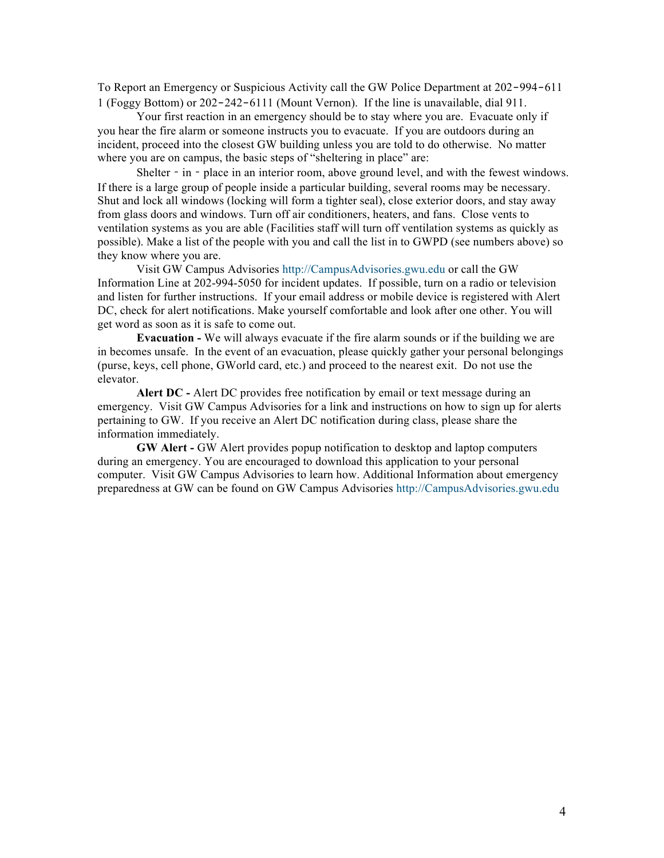To Report an Emergency or Suspicious Activity call the GW Police Department at 202‐994‐611 1 (Foggy Bottom) or 202‐242‐6111 (Mount Vernon). If the line is unavailable, dial 911.

Your first reaction in an emergency should be to stay where you are. Evacuate only if you hear the fire alarm or someone instructs you to evacuate. If you are outdoors during an incident, proceed into the closest GW building unless you are told to do otherwise. No matter where you are on campus, the basic steps of "sheltering in place" are:

Shelter - in - place in an interior room, above ground level, and with the fewest windows. If there is a large group of people inside a particular building, several rooms may be necessary. Shut and lock all windows (locking will form a tighter seal), close exterior doors, and stay away from glass doors and windows. Turn off air conditioners, heaters, and fans. Close vents to ventilation systems as you are able (Facilities staff will turn off ventilation systems as quickly as possible). Make a list of the people with you and call the list in to GWPD (see numbers above) so they know where you are.

Visit GW Campus Advisories http://CampusAdvisories.gwu.edu or call the GW Information Line at 202-994-5050 for incident updates. If possible, turn on a radio or television and listen for further instructions. If your email address or mobile device is registered with Alert DC, check for alert notifications. Make yourself comfortable and look after one other. You will get word as soon as it is safe to come out.

**Evacuation -** We will always evacuate if the fire alarm sounds or if the building we are in becomes unsafe. In the event of an evacuation, please quickly gather your personal belongings (purse, keys, cell phone, GWorld card, etc.) and proceed to the nearest exit. Do not use the elevator.

**Alert DC -** Alert DC provides free notification by email or text message during an emergency. Visit GW Campus Advisories for a link and instructions on how to sign up for alerts pertaining to GW. If you receive an Alert DC notification during class, please share the information immediately.

**GW Alert -** GW Alert provides popup notification to desktop and laptop computers during an emergency. You are encouraged to download this application to your personal computer. Visit GW Campus Advisories to learn how. Additional Information about emergency preparedness at GW can be found on GW Campus Advisories http://CampusAdvisories.gwu.edu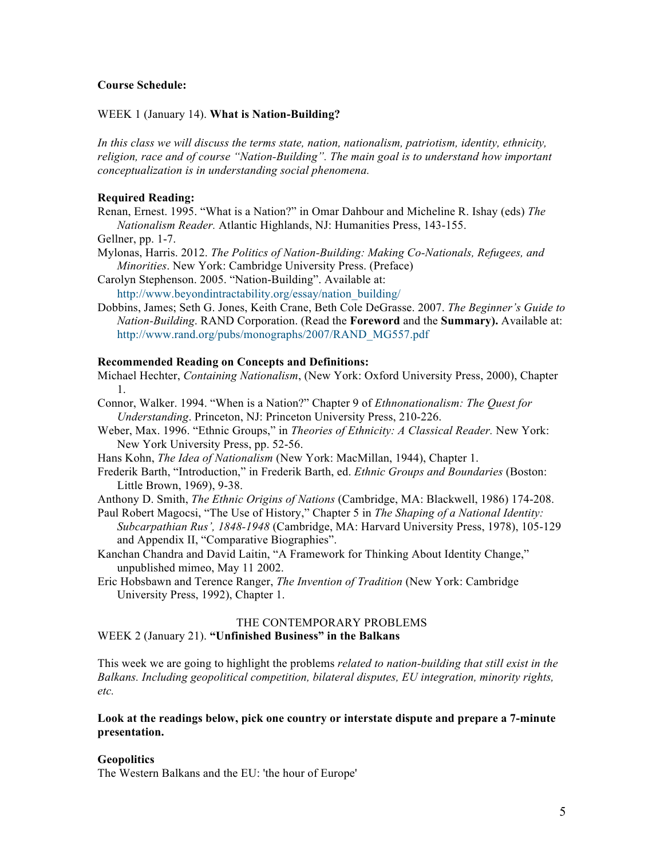### **Course Schedule:**

#### WEEK 1 (January 14). **What is Nation-Building?**

*In this class we will discuss the terms state, nation, nationalism, patriotism, identity, ethnicity, religion, race and of course "Nation-Building". The main goal is to understand how important conceptualization is in understanding social phenomena.* 

### **Required Reading:**

Renan, Ernest. 1995. "What is a Nation?" in Omar Dahbour and Micheline R. Ishay (eds) *The Nationalism Reader.* Atlantic Highlands, NJ: Humanities Press, 143-155.

Gellner, pp. 1-7.

Mylonas, Harris. 2012. *The Politics of Nation-Building: Making Co-Nationals, Refugees, and Minorities*. New York: Cambridge University Press. (Preface)

Carolyn Stephenson. 2005. "Nation-Building". Available at: http://www.beyondintractability.org/essay/nation\_building/

Dobbins, James; Seth G. Jones, Keith Crane, Beth Cole DeGrasse. 2007. *The Beginner's Guide to Nation-Building*. RAND Corporation. (Read the **Foreword** and the **Summary).** Available at: http://www.rand.org/pubs/monographs/2007/RAND\_MG557.pdf

### **Recommended Reading on Concepts and Definitions:**

Michael Hechter, *Containing Nationalism*, (New York: Oxford University Press, 2000), Chapter 1.

- Connor, Walker. 1994. "When is a Nation?" Chapter 9 of *Ethnonationalism: The Quest for Understanding*. Princeton, NJ: Princeton University Press, 210-226.
- Weber, Max. 1996. "Ethnic Groups," in *Theories of Ethnicity: A Classical Reader.* New York: New York University Press, pp. 52-56.

Hans Kohn, *The Idea of Nationalism* (New York: MacMillan, 1944), Chapter 1.

Frederik Barth, "Introduction," in Frederik Barth, ed. *Ethnic Groups and Boundaries* (Boston: Little Brown, 1969), 9-38.

Anthony D. Smith, *The Ethnic Origins of Nations* (Cambridge, MA: Blackwell, 1986) 174-208.

- Paul Robert Magocsi, "The Use of History," Chapter 5 in *The Shaping of a National Identity: Subcarpathian Rus', 1848-1948* (Cambridge, MA: Harvard University Press, 1978), 105-129 and Appendix II, "Comparative Biographies".
- Kanchan Chandra and David Laitin, "A Framework for Thinking About Identity Change," unpublished mimeo, May 11 2002.
- Eric Hobsbawn and Terence Ranger, *The Invention of Tradition* (New York: Cambridge University Press, 1992), Chapter 1.

### THE CONTEMPORARY PROBLEMS

WEEK 2 (January 21). **"Unfinished Business" in the Balkans**

This week we are going to highlight the problems *related to nation-building that still exist in the Balkans. Including geopolitical competition, bilateral disputes, EU integration, minority rights, etc.* 

### **Look at the readings below, pick one country or interstate dispute and prepare a 7-minute presentation.**

#### **Geopolitics**

The Western Balkans and the EU: 'the hour of Europe'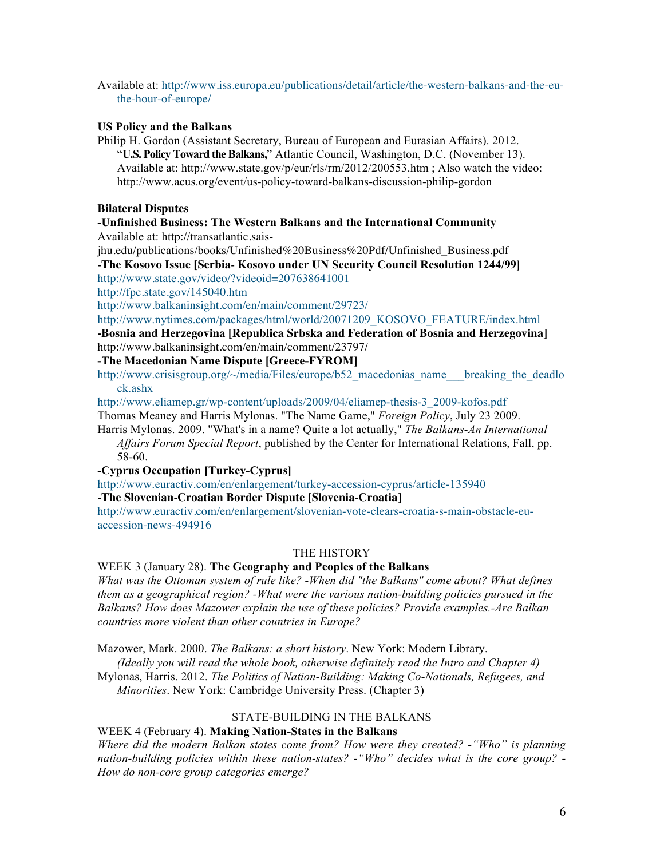Available at: http://www.iss.europa.eu/publications/detail/article/the-western-balkans-and-the-euthe-hour-of-europe/

### **US Policy and the Balkans**

Philip H. Gordon (Assistant Secretary, Bureau of European and Eurasian Affairs). 2012. "**U.S.PolicyToward theBalkans,**" Atlantic Council, Washington, D.C. (November 13). Available at: http://www.state.gov/p/eur/rls/rm/2012/200553.htm ; Also watch the video: http://www.acus.org/event/us-policy-toward-balkans-discussion-philip-gordon

### **Bilateral Disputes**

# **-Unfinished Business: The Western Balkans and the International Community**

Available at: http://transatlantic.sais-

jhu.edu/publications/books/Unfinished%20Business%20Pdf/Unfinished\_Business.pdf **-The Kosovo Issue [Serbia- Kosovo under UN Security Council Resolution 1244/99]** http://www.state.gov/video/?videoid=207638641001

http://fpc.state.gov/145040.htm

http://www.balkaninsight.com/en/main/comment/29723/

# http://www.nytimes.com/packages/html/world/20071209\_KOSOVO\_FEATURE/index.html

**-Bosnia and Herzegovina [Republica Srbska and Federation of Bosnia and Herzegovina]** http://www.balkaninsight.com/en/main/comment/23797/

# **-The Macedonian Name Dispute [Greece-FYROM]**

http://www.crisisgroup.org/~/media/Files/europe/b52 macedonias name breaking the deadlo ck.ashx

http://www.eliamep.gr/wp-content/uploads/2009/04/eliamep-thesis-3\_2009-kofos.pdf

Thomas Meaney and Harris Mylonas. "The Name Game," *Foreign Policy*, July 23 2009.

Harris Mylonas. 2009. "What's in a name? Quite a lot actually," *The Balkans-An International Affairs Forum Special Report*, published by the Center for International Relations, Fall, pp. 58-60.

# **-Cyprus Occupation [Turkey-Cyprus]**

http://www.euractiv.com/en/enlargement/turkey-accession-cyprus/article-135940 **-The Slovenian-Croatian Border Dispute [Slovenia-Croatia]**

http://www.euractiv.com/en/enlargement/slovenian-vote-clears-croatia-s-main-obstacle-eu-

accession-news-494916

# THE HISTORY

# WEEK 3 (January 28). **The Geography and Peoples of the Balkans**

*What was the Ottoman system of rule like? -When did "the Balkans" come about? What defines them as a geographical region? -What were the various nation-building policies pursued in the Balkans? How does Mazower explain the use of these policies? Provide examples.-Are Balkan countries more violent than other countries in Europe?*

Mazower, Mark. 2000. *The Balkans: a short history*. New York: Modern Library.

*(Ideally you will read the whole book, otherwise definitely read the Intro and Chapter 4)*

Mylonas, Harris. 2012. *The Politics of Nation-Building: Making Co-Nationals, Refugees, and Minorities*. New York: Cambridge University Press. (Chapter 3)

# STATE-BUILDING IN THE BALKANS

# WEEK 4 (February 4). **Making Nation-States in the Balkans**

*Where did the modern Balkan states come from? How were they created? -"Who" is planning nation-building policies within these nation-states? -"Who" decides what is the core group? - How do non-core group categories emerge?*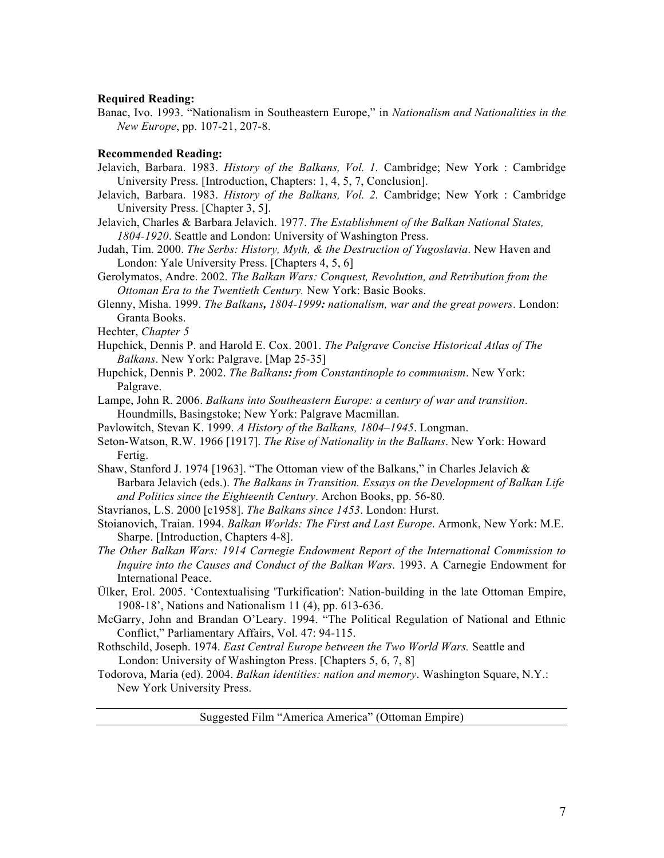### **Required Reading:**

Banac, Ivo. 1993. "Nationalism in Southeastern Europe," in *Nationalism and Nationalities in the New Europe*, pp. 107-21, 207-8.

#### **Recommended Reading:**

- Jelavich, Barbara. 1983. *History of the Balkans, Vol. 1.* Cambridge; New York : Cambridge University Press. [Introduction, Chapters: 1, 4, 5, 7, Conclusion].
- Jelavich, Barbara. 1983. *History of the Balkans, Vol. 2.* Cambridge; New York : Cambridge University Press. [Chapter 3, 5].
- Jelavich, Charles & Barbara Jelavich. 1977. *The Establishment of the Balkan National States, 1804-1920*. Seattle and London: University of Washington Press.
- Judah, Tim. 2000. *The Serbs: History, Myth, & the Destruction of Yugoslavia*. New Haven and London: Yale University Press. [Chapters 4, 5, 6]
- Gerolymatos, Andre. 2002. *The Balkan Wars: Conquest, Revolution, and Retribution from the Ottoman Era to the Twentieth Century.* New York: Basic Books.
- Glenny, Misha. 1999. *The Balkans, 1804-1999: nationalism, war and the great powers*. London: Granta Books.
- Hechter, *Chapter 5*
- Hupchick, Dennis P. and Harold E. Cox. 2001. *The Palgrave Concise Historical Atlas of The Balkans*. New York: Palgrave. [Map 25-35]
- Hupchick, Dennis P. 2002. *The Balkans: from Constantinople to communism*. New York: Palgrave.
- Lampe, John R. 2006. *Balkans into Southeastern Europe: a century of war and transition*. Houndmills, Basingstoke; New York: Palgrave Macmillan.
- Pavlowitch, Stevan K. 1999. *A History of the Balkans, 1804–1945*. Longman.
- Seton-Watson, R.W. 1966 [1917]. *The Rise of Nationality in the Balkans*. New York: Howard Fertig.
- Shaw, Stanford J. 1974 [1963]. "The Ottoman view of the Balkans," in Charles Jelavich  $\&$ Barbara Jelavich (eds.). *The Balkans in Transition. Essays on the Development of Balkan Life and Politics since the Eighteenth Century*. Archon Books, pp. 56-80.
- Stavrianos, L.S. 2000 [c1958]. *The Balkans since 1453*. London: Hurst.
- Stoianovich, Traian. 1994. *Balkan Worlds: The First and Last Europe*. Armonk, New York: M.E. Sharpe. [Introduction, Chapters 4-8].
- *The Other Balkan Wars: 1914 Carnegie Endowment Report of the International Commission to Inquire into the Causes and Conduct of the Balkan Wars*. 1993. A Carnegie Endowment for International Peace.
- Ülker, Erol. 2005. 'Contextualising 'Turkification': Nation-building in the late Ottoman Empire, 1908-18', Nations and Nationalism 11 (4), pp. 613-636.
- McGarry, John and Brandan O'Leary. 1994. "The Political Regulation of National and Ethnic Conflict," Parliamentary Affairs, Vol. 47: 94-115.
- Rothschild, Joseph. 1974. *East Central Europe between the Two World Wars.* Seattle and London: University of Washington Press. [Chapters 5, 6, 7, 8]
- Todorova, Maria (ed). 2004. *Balkan identities: nation and memory*. Washington Square, N.Y.: New York University Press.

Suggested Film "America America" (Ottoman Empire)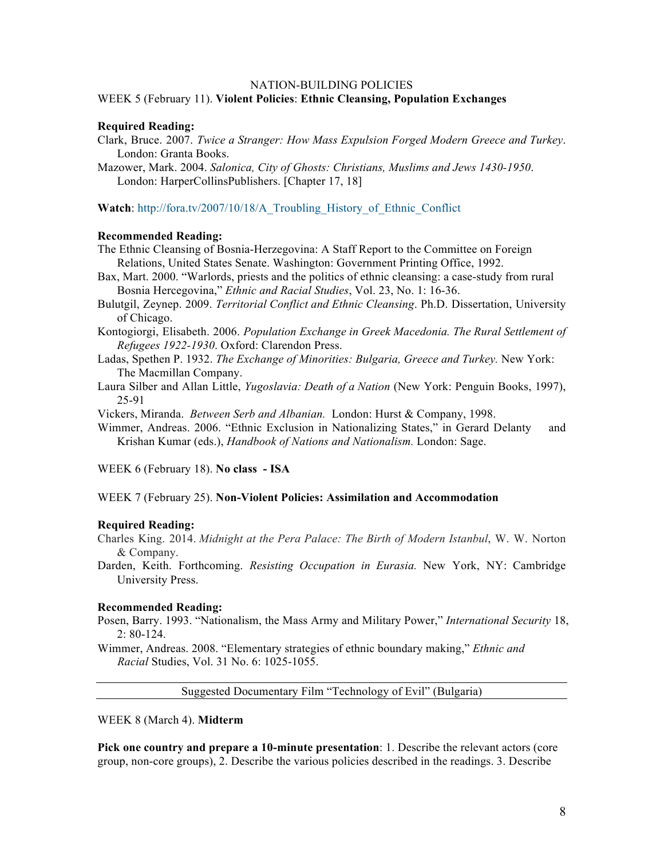### NATION-BUILDING POLICIES

#### WEEK 5 (February 11). **Violent Policies**: **Ethnic Cleansing, Population Exchanges**

#### **Required Reading:**

- Clark, Bruce. 2007. *Twice a Stranger: How Mass Expulsion Forged Modern Greece and Turkey*. London: Granta Books.
- Mazower, Mark. 2004. *Salonica, City of Ghosts: Christians, Muslims and Jews 1430-1950*. London: HarperCollinsPublishers. [Chapter 17, 18]

**Watch**: http://fora.tv/2007/10/18/A\_Troubling\_History\_of\_Ethnic\_Conflict

### **Recommended Reading:**

- The Ethnic Cleansing of Bosnia-Herzegovina: A Staff Report to the Committee on Foreign Relations, United States Senate. Washington: Government Printing Office, 1992.
- Bax, Mart. 2000. "Warlords, priests and the politics of ethnic cleansing: a case-study from rural Bosnia Hercegovina," *Ethnic and Racial Studies*, Vol. 23, No. 1: 16-36.
- Bulutgil, Zeynep. 2009. *Territorial Conflict and Ethnic Cleansing*. Ph.D. Dissertation, University of Chicago.
- Kontogiorgi, Elisabeth. 2006. *Population Exchange in Greek Macedonia. The Rural Settlement of Refugees 1922-1930*. Oxford: Clarendon Press.
- Ladas, Spethen P. 1932. *The Exchange of Minorities: Bulgaria, Greece and Turkey.* New York: The Macmillan Company.
- Laura Silber and Allan Little, *Yugoslavia: Death of a Nation* (New York: Penguin Books, 1997), 25-91

Vickers, Miranda. *Between Serb and Albanian.* London: Hurst & Company, 1998.

Wimmer, Andreas. 2006. "Ethnic Exclusion in Nationalizing States," in Gerard Delanty and Krishan Kumar (eds.), *Handbook of Nations and Nationalism.* London: Sage.

WEEK 6 (February 18). **No class - ISA** 

WEEK 7 (February 25). **Non-Violent Policies: Assimilation and Accommodation**

#### **Required Reading:**

Charles King. 2014. *Midnight at the Pera Palace: The Birth of Modern Istanbul*, W. W. Norton & Company.

Darden, Keith. Forthcoming. *Resisting Occupation in Eurasia.* New York, NY: Cambridge University Press.

#### **Recommended Reading:**

Posen, Barry. 1993. "Nationalism, the Mass Army and Military Power," *International Security* 18, 2: 80-124.

Wimmer, Andreas. 2008. "Elementary strategies of ethnic boundary making," *Ethnic and Racial* Studies, Vol. 31 No. 6: 1025-1055.

Suggested Documentary Film "Technology of Evil" (Bulgaria)

WEEK 8 (March 4). **Midterm**

**Pick one country and prepare a 10-minute presentation**: 1. Describe the relevant actors (core group, non-core groups), 2. Describe the various policies described in the readings. 3. Describe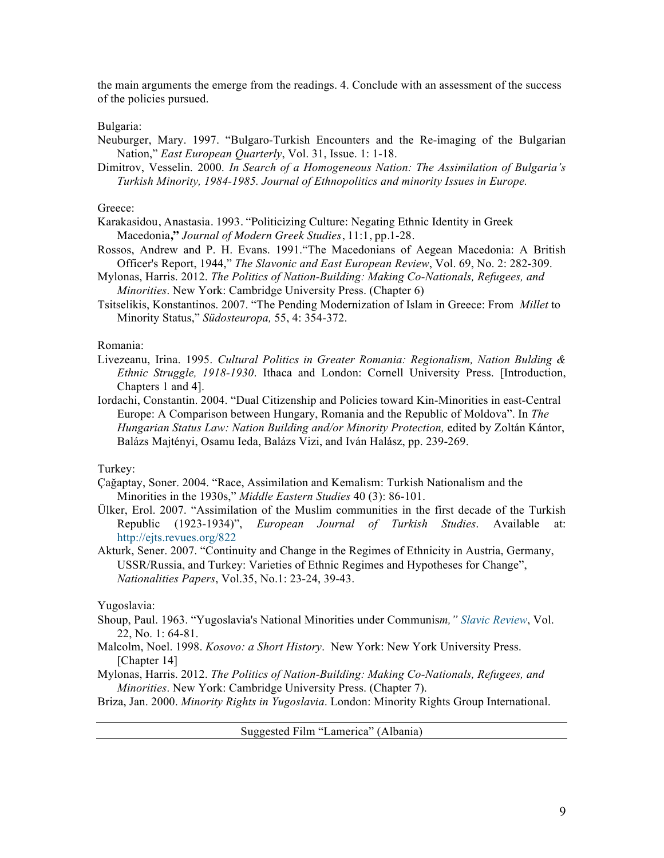the main arguments the emerge from the readings. 4. Conclude with an assessment of the success of the policies pursued.

### Bulgaria:

- Neuburger, Mary. 1997. "Bulgaro-Turkish Encounters and the Re-imaging of the Bulgarian Nation," *East European Quarterly*, Vol. 31, Issue. 1: 1-18.
- Dimitrov, Vesselin. 2000. *In Search of a Homogeneous Nation: The Assimilation of Bulgaria's Turkish Minority, 1984-1985. Journal of Ethnopolitics and minority Issues in Europe.*

### Greece:

- Karakasidou, Anastasia. 1993. "Politicizing Culture: Negating Ethnic Identity in Greek Macedonia**,"** *Journal of Modern Greek Studies*, 11:1, pp.1-28.
- Rossos, Andrew and P. H. Evans. 1991."The Macedonians of Aegean Macedonia: A British Officer's Report, 1944," *The Slavonic and East European Review*, Vol. 69, No. 2: 282-309.
- Mylonas, Harris. 2012. *The Politics of Nation-Building: Making Co-Nationals, Refugees, and Minorities*. New York: Cambridge University Press. (Chapter 6)
- Tsitselikis, Konstantinos. 2007. "The Pending Modernization of Islam in Greece: From *Millet* to Minority Status," *Südosteuropa,* 55, 4: 354-372.

### Romania:

- Livezeanu, Irina. 1995. *Cultural Politics in Greater Romania: Regionalism, Nation Bulding & Ethnic Struggle, 1918-1930*. Ithaca and London: Cornell University Press. [Introduction, Chapters 1 and 4].
- Iordachi, Constantin. 2004. "Dual Citizenship and Policies toward Kin-Minorities in east-Central Europe: A Comparison between Hungary, Romania and the Republic of Moldova". In *The Hungarian Status Law: Nation Building and/or Minority Protection,* edited by Zoltán Kántor, Balázs Majtényi, Osamu Ieda, Balázs Vizi, and Iván Halász, pp. 239-269.

### Turkey:

- Çağaptay, Soner. 2004. "Race, Assimilation and Kemalism: Turkish Nationalism and the Minorities in the 1930s," *Middle Eastern Studies* 40 (3): 86-101.
- Ülker, Erol. 2007. "Assimilation of the Muslim communities in the first decade of the Turkish Republic (1923-1934)", *European Journal of Turkish Studies*. Available at: http://ejts.revues.org/822
- Akturk, Sener. 2007. "Continuity and Change in the Regimes of Ethnicity in Austria, Germany, USSR/Russia, and Turkey: Varieties of Ethnic Regimes and Hypotheses for Change", *Nationalities Papers*, Vol.35, No.1: 23-24, 39-43.

### Yugoslavia:

- Shoup, Paul. 1963. "Yugoslavia's National Minorities under Communis*m," Slavic Review*, Vol. 22, No. 1: 64-81.
- Malcolm, Noel. 1998. *Kosovo: a Short History*. New York: New York University Press. [Chapter 14]
- Mylonas, Harris. 2012. *The Politics of Nation-Building: Making Co-Nationals, Refugees, and Minorities*. New York: Cambridge University Press. (Chapter 7).
- Briza, Jan. 2000. *Minority Rights in Yugoslavia*. London: Minority Rights Group International.

Suggested Film "Lamerica" (Albania)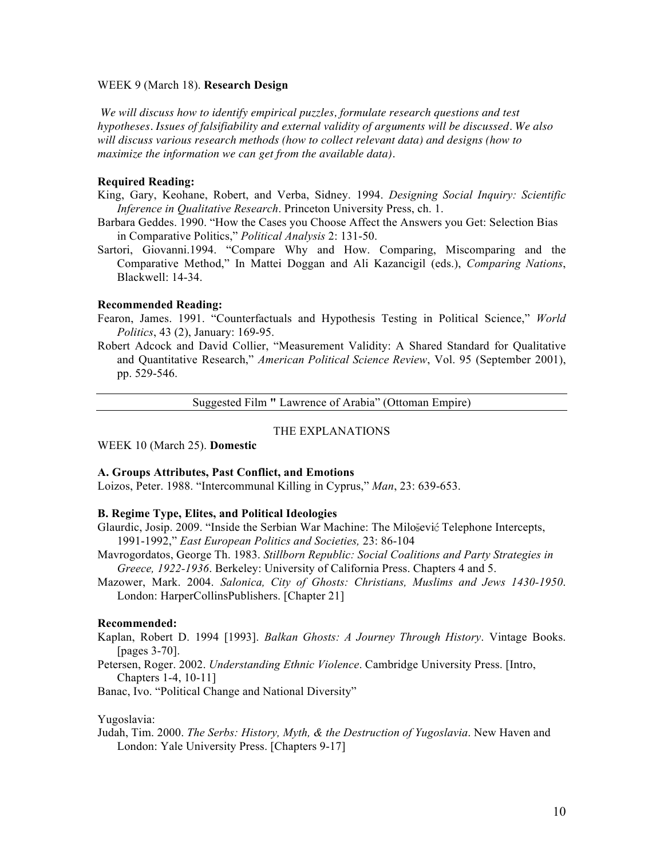#### WEEK 9 (March 18). **Research Design**

*We will discuss how to identify empirical puzzles, formulate research questions and test hypotheses. Issues of falsifiability and external validity of arguments will be discussed. We also will discuss various research methods (how to collect relevant data) and designs (how to maximize the information we can get from the available data).*

### **Required Reading:**

- King, Gary, Keohane, Robert, and Verba, Sidney. 1994. *Designing Social Inquiry: Scientific Inference in Qualitative Research*. Princeton University Press, ch. 1.
- Barbara Geddes. 1990. "How the Cases you Choose Affect the Answers you Get: Selection Bias in Comparative Politics," *Political Analysis* 2: 131-50.
- Sartori, Giovanni.1994. "Compare Why and How. Comparing, Miscomparing and the Comparative Method," In Mattei Doggan and Ali Kazancigil (eds.), *Comparing Nations*, Blackwell: 14-34.

#### **Recommended Reading:**

- Fearon, James. 1991. "Counterfactuals and Hypothesis Testing in Political Science," *World Politics*, 43 (2), January: 169-95.
- Robert Adcock and David Collier, "Measurement Validity: A Shared Standard for Qualitative and Quantitative Research," *American Political Science Review*, Vol. 95 (September 2001), pp. 529-546.

Suggested Film **"** Lawrence of Arabia" (Ottoman Empire)

### THE EXPLANATIONS

WEEK 10 (March 25). **Domestic**

#### **A. Groups Attributes, Past Conflict, and Emotions**

Loizos, Peter. 1988. "Intercommunal Killing in Cyprus," *Man*, 23: 639-653.

# **B. Regime Type, Elites, and Political Ideologies**

- Glaurdic, Josip. 2009. "Inside the Serbian War Machine: The Milosevic Telephone Intercepts, 1991-1992," *East European Politics and Societies,* 23: 86-104
- Mavrogordatos, George Th. 1983. *Stillborn Republic: Social Coalitions and Party Strategies in Greece, 1922-1936*. Berkeley: University of California Press. Chapters 4 and 5.
- Mazower, Mark. 2004. *Salonica, City of Ghosts: Christians, Muslims and Jews 1430-1950*. London: HarperCollinsPublishers. [Chapter 21]

### **Recommended:**

- Kaplan, Robert D. 1994 [1993]. *Balkan Ghosts: A Journey Through History*. Vintage Books. [pages 3-70].
- Petersen, Roger. 2002. *Understanding Ethnic Violence*. Cambridge University Press. [Intro, Chapters 1-4, 10-11]

Banac, Ivo. "Political Change and National Diversity"

#### Yugoslavia:

Judah, Tim. 2000. *The Serbs: History, Myth, & the Destruction of Yugoslavia*. New Haven and London: Yale University Press. [Chapters 9-17]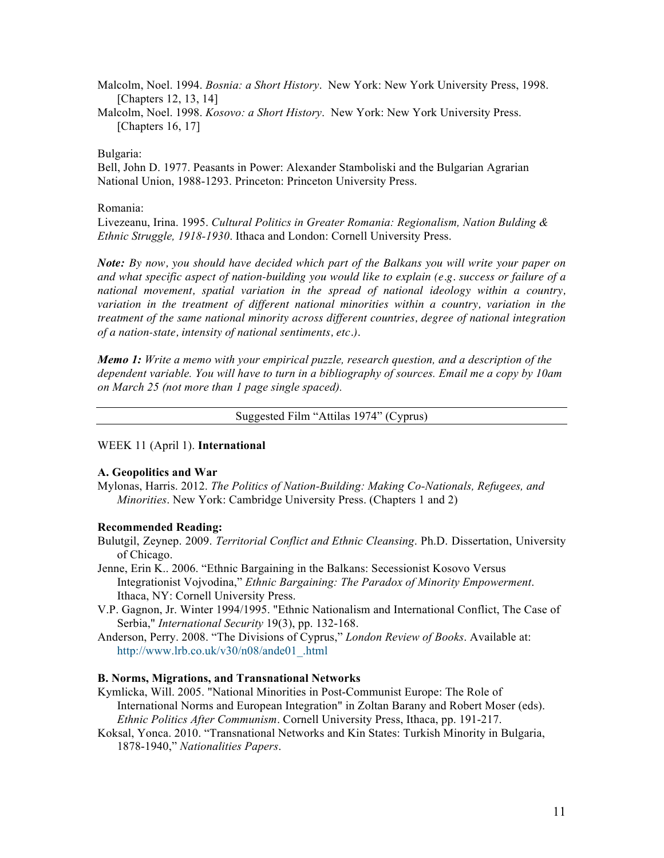Malcolm, Noel. 1994. *Bosnia: a Short History*. New York: New York University Press, 1998. [Chapters 12, 13, 14]

Malcolm, Noel. 1998. *Kosovo: a Short History*. New York: New York University Press. [Chapters 16, 17]

### Bulgaria:

Bell, John D. 1977. Peasants in Power: Alexander Stamboliski and the Bulgarian Agrarian National Union, 1988-1293. Princeton: Princeton University Press.

### Romania:

Livezeanu, Irina. 1995. *Cultural Politics in Greater Romania: Regionalism, Nation Bulding & Ethnic Struggle, 1918-1930*. Ithaca and London: Cornell University Press.

*Note: By now, you should have decided which part of the Balkans you will write your paper on and what specific aspect of nation-building you would like to explain (e.g. success or failure of a national movement, spatial variation in the spread of national ideology within a country,* variation in the treatment of different national minorities within a country, variation in the *treatment of the same national minority across different countries, degree of national integration of a nation-state, intensity of national sentiments, etc.).* 

*Memo 1: Write a memo with your empirical puzzle, research question, and a description of the dependent variable. You will have to turn in a bibliography of sources. Email me a copy by 10am on March 25 (not more than 1 page single spaced).* 

#### Suggested Film "Attilas 1974" (Cyprus)

### WEEK 11 (April 1). **International**

### **A. Geopolitics and War**

Mylonas, Harris. 2012. *The Politics of Nation-Building: Making Co-Nationals, Refugees, and Minorities*. New York: Cambridge University Press. (Chapters 1 and 2)

#### **Recommended Reading:**

- Bulutgil, Zeynep. 2009. *Territorial Conflict and Ethnic Cleansing*. Ph.D. Dissertation, University of Chicago.
- Jenne, Erin K.. 2006. "Ethnic Bargaining in the Balkans: Secessionist Kosovo Versus Integrationist Vojvodina," *Ethnic Bargaining: The Paradox of Minority Empowerment*. Ithaca, NY: Cornell University Press.
- V.P. Gagnon, Jr. Winter 1994/1995. "Ethnic Nationalism and International Conflict, The Case of Serbia," *International Security* 19(3), pp. 132-168.
- Anderson, Perry. 2008. "The Divisions of Cyprus," *London Review of Books*. Available at: http://www.lrb.co.uk/v30/n08/ande01\_.html

### **B. Norms, Migrations, and Transnational Networks**

- Kymlicka, Will. 2005. "National Minorities in Post-Communist Europe: The Role of International Norms and European Integration" in Zoltan Barany and Robert Moser (eds). *Ethnic Politics After Communism*. Cornell University Press, Ithaca, pp. 191-217.
- Koksal, Yonca. 2010. "Transnational Networks and Kin States: Turkish Minority in Bulgaria, 1878-1940," *Nationalities Papers*.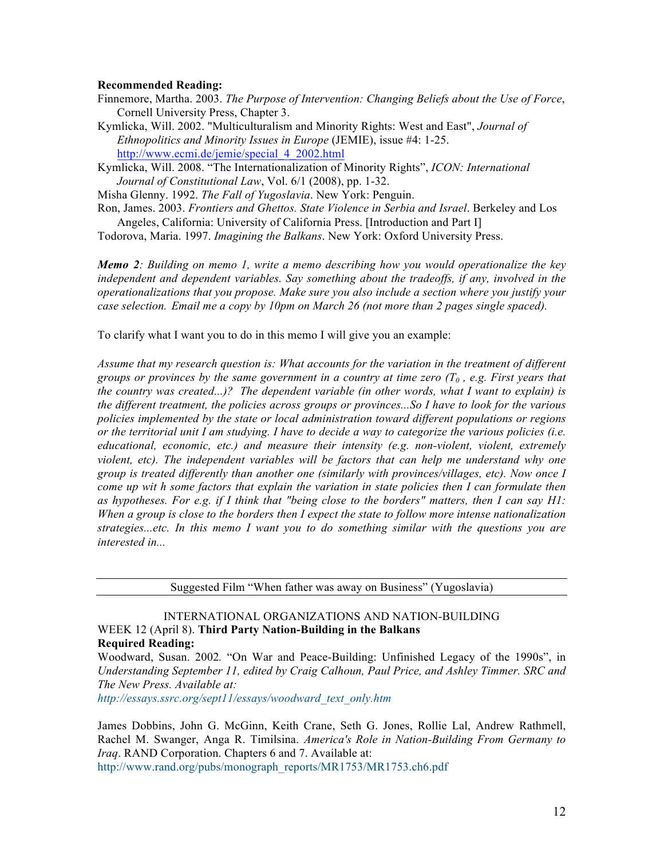### **Recommended Reading:**

- Finnemore, Martha. 2003. *The Purpose of Intervention: Changing Beliefs about the Use of Force*, Cornell University Press, Chapter 3.
- Kymlicka, Will. 2002. "Multiculturalism and Minority Rights: West and East", *Journal of Ethnopolitics and Minority Issues in Europe* (JEMIE), issue #4: 1-25. http://www.ecmi.de/jemie/special\_4\_2002.html

Kymlicka, Will. 2008. "The Internationalization of Minority Rights", *ICON: International Journal of Constitutional Law*, Vol. 6/1 (2008), pp. 1-32.

Misha Glenny. 1992. *The Fall of Yugoslavia*. New York: Penguin.

Ron, James. 2003. *Frontiers and Ghettos. State Violence in Serbia and Israel*. Berkeley and Los Angeles, California: University of California Press. [Introduction and Part I]

Todorova, Maria. 1997. *Imagining the Balkans*. New York: Oxford University Press.

*Memo 2: Building on memo 1, write a memo describing how you would operationalize the key independent and dependent variables. Say something about the tradeoffs, if any, involved in the operationalizations that you propose. Make sure you also include a section where you justify your case selection. Email me a copy by 10pm on March 26 (not more than 2 pages single spaced).* 

To clarify what I want you to do in this memo I will give you an example:

*Assume that my research question is: What accounts for the variation in the treatment of different groups or provinces by the same government in a country at time zero (T0 , e.g. First years that the country was created...)? The dependent variable (in other words, what I want to explain) is the different treatment, the policies across groups or provinces...So I have to look for the various policies implemented by the state or local administration toward different populations or regions or the territorial unit I am studying. I have to decide a way to categorize the various policies (i.e. educational, economic, etc.) and measure their intensity (e.g. non-violent, violent, extremely violent, etc). The independent variables will be factors that can help me understand why one group is treated differently than another one (similarly with provinces/villages, etc). Now once I come up wit h some factors that explain the variation in state policies then I can formulate then as hypotheses. For e.g. if I think that "being close to the borders" matters, then I can say H1: When a group is close to the borders then I expect the state to follow more intense nationalization strategies...etc. In this memo I want you to do something similar with the questions you are interested in...*

Suggested Film "When father was away on Business" (Yugoslavia)

# INTERNATIONAL ORGANIZATIONS AND NATION-BUILDING WEEK 12 (April 8). **Third Party Nation-Building in the Balkans Required Reading:**

Woodward, Susan. 2002*.* "On War and Peace-Building: Unfinished Legacy of the 1990s", in *Understanding September 11, edited by Craig Calhoun, Paul Price, and Ashley Timmer. SRC and The New Press. Available at:* 

*http://essays.ssrc.org/sept11/essays/woodward\_text\_only.htm*

James Dobbins, John G. McGinn, Keith Crane, Seth G. Jones, Rollie Lal, Andrew Rathmell, Rachel M. Swanger, Anga R. Timilsina. *America's Role in Nation-Building From Germany to Iraq*. RAND Corporation. Chapters 6 and 7. Available at: http://www.rand.org/pubs/monograph\_reports/MR1753/MR1753.ch6.pdf